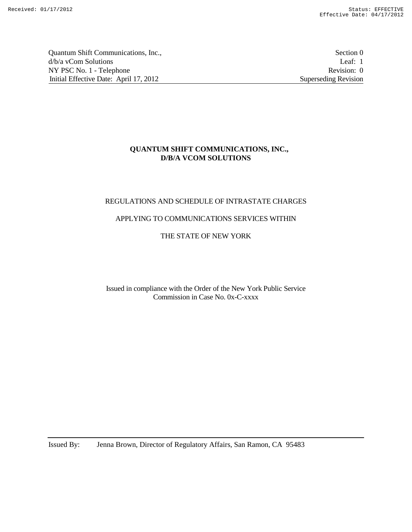Quantum Shift Communications, Inc., Section 0 d/b/a vCom Solutions Leaf: 1<br>
NY PSC No. 1 - Telephone Revision: 0 NY PSC No. 1 - Telephone Initial Effective Date: April 17, 2012 Superseding Revision

#### **QUANTUM SHIFT COMMUNICATIONS, INC., D/B/A VCOM SOLUTIONS**

## REGULATIONS AND SCHEDULE OF INTRASTATE CHARGES

#### APPLYING TO COMMUNICATIONS SERVICES WITHIN

## THE STATE OF NEW YORK

Issued in compliance with the Order of the New York Public Service Commission in Case No. 0x-C-xxxx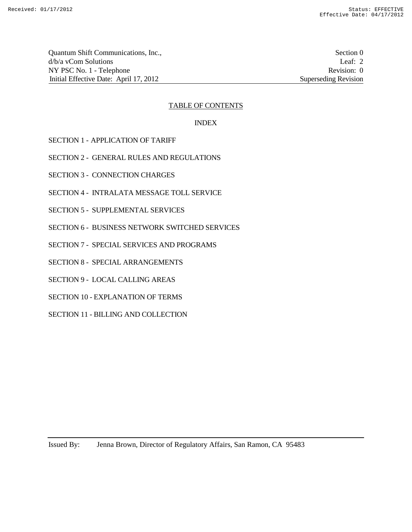Quantum Shift Communications, Inc., Section 0 d/b/a vCom Solutions Leaf: 2 NY PSC No. 1 - Telephone Revision: 0 Initial Effective Date: April 17, 2012 Superseding Revision

#### TABLE OF CONTENTS

#### INDEX

- SECTION 1 APPLICATION OF TARIFF
- SECTION 2 GENERAL RULES AND REGULATIONS
- SECTION 3 CONNECTION CHARGES
- SECTION 4 INTRALATA MESSAGE TOLL SERVICE
- SECTION 5 SUPPLEMENTAL SERVICES
- SECTION 6 BUSINESS NETWORK SWITCHED SERVICES
- SECTION 7 SPECIAL SERVICES AND PROGRAMS
- SECTION 8 SPECIAL ARRANGEMENTS
- SECTION 9 LOCAL CALLING AREAS
- SECTION 10 EXPLANATION OF TERMS
- SECTION 11 BILLING AND COLLECTION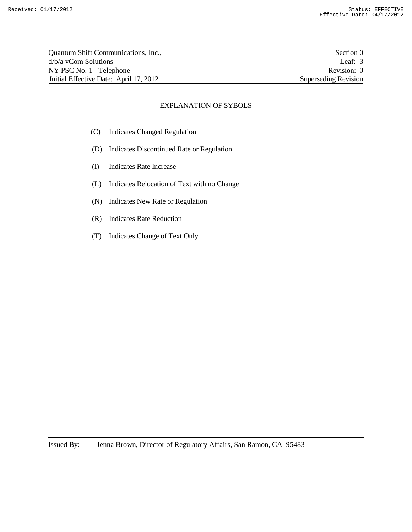| Quantum Shift Communications, Inc.,    | Section 0            |
|----------------------------------------|----------------------|
| d/b/a yCom Solutions                   | Leaf: $3$            |
| NY PSC No. 1 - Telephone               | Revision: 0          |
| Initial Effective Date: April 17, 2012 | Superseding Revision |

#### EXPLANATION OF SYBOLS

- (C) Indicates Changed Regulation
- (D) Indicates Discontinued Rate or Regulation
- (I) Indicates Rate Increase
- (L) Indicates Relocation of Text with no Change
- (N) Indicates New Rate or Regulation
- (R) Indicates Rate Reduction
- (T) Indicates Change of Text Only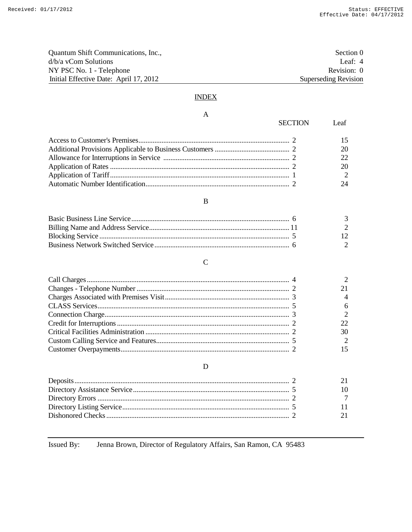| Quantum Shift Communications, Inc.,    | Section 0            |
|----------------------------------------|----------------------|
| $d/b/a$ vCom Solutions                 | Leaf: $4$            |
| NY PSC No. 1 - Telephone               | Revision: 0          |
| Initial Effective Date: April 17, 2012 | Superseding Revision |

# **INDEX**

#### $\mathbf A$

| <b>SECTION</b><br>Leaf |
|------------------------|
|                        |
| 20                     |
| $22^{\circ}$           |
| 20                     |
| $\overline{2}$         |
| 24                     |

## $\, {\bf B}$

|  | $\overline{3}$           |
|--|--------------------------|
|  | $\mathcal{D}$            |
|  |                          |
|  | $\overline{\phantom{a}}$ |

# $\mathbf C$

|  | 30            |
|--|---------------|
|  | $\mathcal{D}$ |
|  |               |

# ${\bf D}$

Jenna Brown, Director of Regulatory Affairs, San Ramon, CA 95483 Issued By: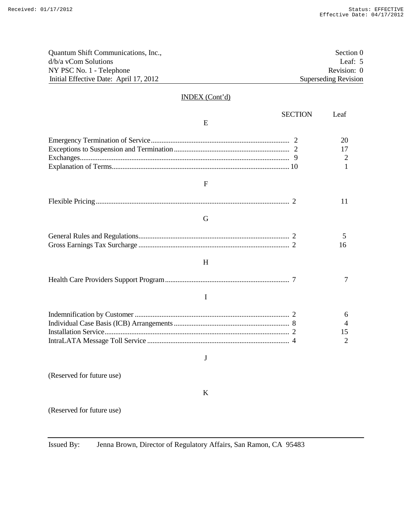| Quantum Shift Communications, Inc.,    |                | Section <sub>0</sub>        |
|----------------------------------------|----------------|-----------------------------|
| d/b/a vCom Solutions                   |                |                             |
| NY PSC No. 1 - Telephone               |                | Revision: 0                 |
| Initial Effective Date: April 17, 2012 |                | <b>Superseding Revision</b> |
|                                        |                |                             |
| <b>INDEX</b> (Cont'd)                  |                |                             |
|                                        | <b>SECTION</b> | Leaf                        |
| E                                      |                |                             |
|                                        |                | 20                          |
|                                        |                | 17                          |
|                                        |                | 2                           |
|                                        |                | 1                           |
| F                                      |                |                             |
|                                        |                |                             |
|                                        |                | 11                          |
| G                                      |                |                             |
|                                        |                | 5                           |
|                                        |                | 16                          |
| H                                      |                |                             |
|                                        |                |                             |
|                                        |                | 7                           |
| I                                      |                |                             |
|                                        |                | 6                           |
|                                        |                | 4                           |
|                                        |                | 15                          |
|                                        |                | 2                           |
| J                                      |                |                             |
|                                        |                |                             |
| (Reserved for future use)              |                |                             |
| K                                      |                |                             |
| (Reserved for future use)              |                |                             |
|                                        |                |                             |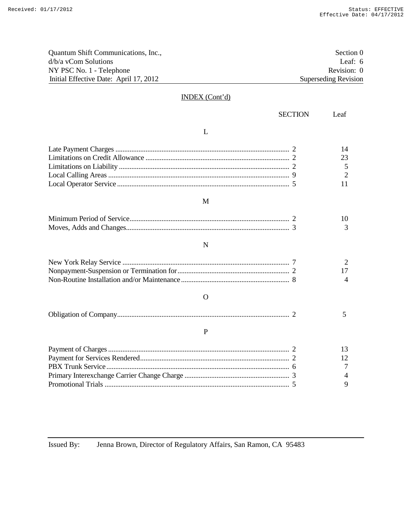| Quantum Shift Communications, Inc.,    |                | Section <sub>0</sub>        |
|----------------------------------------|----------------|-----------------------------|
| d/b/a vCom Solutions                   |                | Leaf: 6                     |
| NY PSC No. 1 - Telephone               |                | Revision: 0                 |
| Initial Effective Date: April 17, 2012 |                | <b>Superseding Revision</b> |
|                                        |                |                             |
| <b>INDEX</b> (Cont'd)                  |                |                             |
|                                        | <b>SECTION</b> | Leaf                        |
| L                                      |                |                             |
|                                        |                | 14                          |
|                                        |                | 23                          |
|                                        |                | 5                           |
|                                        |                | $\overline{2}$              |
|                                        |                | 11                          |
| M                                      |                |                             |
|                                        |                | 10                          |
|                                        |                | 3                           |
| N                                      |                |                             |
|                                        |                | 2                           |
|                                        |                | 17                          |
|                                        |                | 4                           |
| Ω                                      |                |                             |
|                                        |                | 5                           |
| P                                      |                |                             |
|                                        |                | 13                          |
|                                        |                | 12                          |
|                                        |                | 7                           |
|                                        |                | 4                           |
|                                        |                | $\mathbf Q$                 |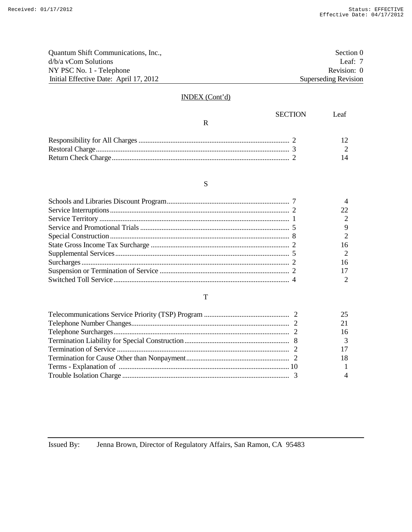| Quantum Shift Communications, Inc.,    | Section 0            |
|----------------------------------------|----------------------|
| $d/b/a$ vCom Solutions                 | Leaf: $7$            |
| NY PSC No. 1 - Telephone               | Revision: 0          |
| Initial Effective Date: April 17, 2012 | Superseding Revision |

# INDEX (Cont'd)

| SECTION | - Leaf |
|---------|--------|
|         |        |
|         |        |
|         |        |
|         |        |

# S

# T